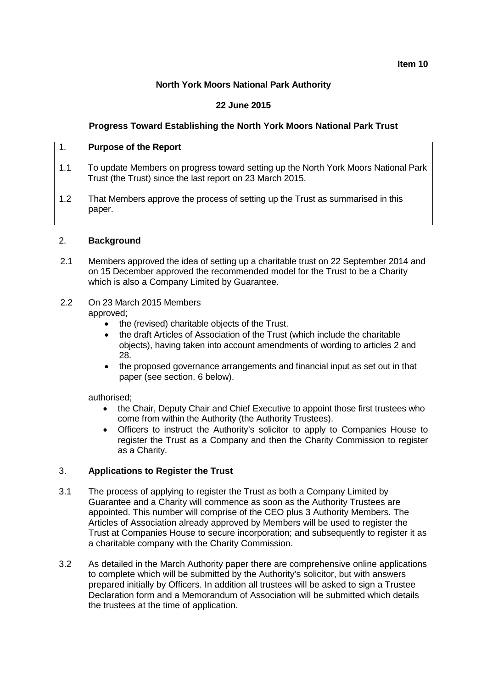**Item 10**

## **North York Moors National Park Authority**

## **22 June 2015**

## **Progress Toward Establishing the North York Moors National Park Trust**

#### 1. **Purpose of the Report**

- 1.1 To update Members on progress toward setting up the North York Moors National Park Trust (the Trust) since the last report on 23 March 2015.
- 1.2 That Members approve the process of setting up the Trust as summarised in this paper.

#### 2. **Background**

- 2.1 Members approved the idea of setting up a charitable trust on 22 September 2014 and on 15 December approved the recommended model for the Trust to be a Charity which is also a Company Limited by Guarantee.
- 2.2 On 23 March 2015 Members

approved;

- the (revised) charitable objects of the Trust.
- the draft Articles of Association of the Trust (which include the charitable objects), having taken into account amendments of wording to articles 2 and 28.
- the proposed governance arrangements and financial input as set out in that paper (see section. 6 below).

authorised;

- the Chair, Deputy Chair and Chief Executive to appoint those first trustees who come from within the Authority (the Authority Trustees).
- Officers to instruct the Authority's solicitor to apply to Companies House to register the Trust as a Company and then the Charity Commission to register as a Charity.

### 3. **Applications to Register the Trust**

- 3.1 The process of applying to register the Trust as both a Company Limited by Guarantee and a Charity will commence as soon as the Authority Trustees are appointed. This number will comprise of the CEO plus 3 Authority Members. The Articles of Association already approved by Members will be used to register the Trust at Companies House to secure incorporation; and subsequently to register it as a charitable company with the Charity Commission.
- 3.2 As detailed in the March Authority paper there are comprehensive online applications to complete which will be submitted by the Authority's solicitor, but with answers prepared initially by Officers. In addition all trustees will be asked to sign a Trustee Declaration form and a Memorandum of Association will be submitted which details the trustees at the time of application.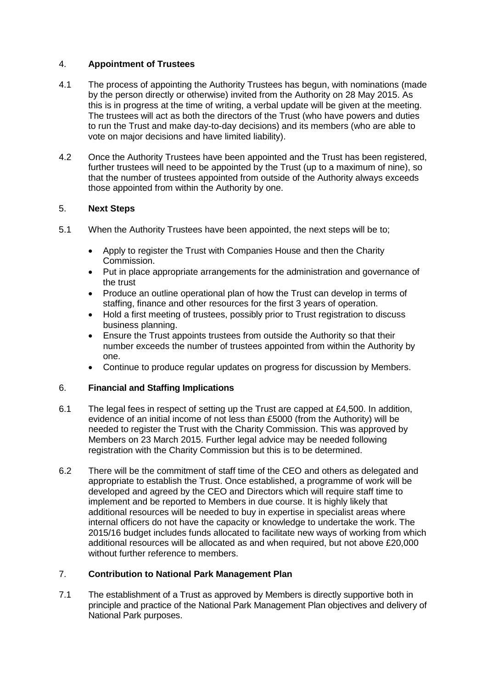## 4. **Appointment of Trustees**

- 4.1 The process of appointing the Authority Trustees has begun, with nominations (made by the person directly or otherwise) invited from the Authority on 28 May 2015. As this is in progress at the time of writing, a verbal update will be given at the meeting. The trustees will act as both the directors of the Trust (who have powers and duties to run the Trust and make day-to-day decisions) and its members (who are able to vote on major decisions and have limited liability).
- 4.2 Once the Authority Trustees have been appointed and the Trust has been registered, further trustees will need to be appointed by the Trust (up to a maximum of nine), so that the number of trustees appointed from outside of the Authority always exceeds those appointed from within the Authority by one.

### 5. **Next Steps**

- 5.1 When the Authority Trustees have been appointed, the next steps will be to;
	- Apply to register the Trust with Companies House and then the Charity Commission.
	- Put in place appropriate arrangements for the administration and governance of the trust
	- Produce an outline operational plan of how the Trust can develop in terms of staffing, finance and other resources for the first 3 years of operation.
	- Hold a first meeting of trustees, possibly prior to Trust registration to discuss business planning.
	- Ensure the Trust appoints trustees from outside the Authority so that their number exceeds the number of trustees appointed from within the Authority by one.
	- Continue to produce regular updates on progress for discussion by Members.

### 6. **Financial and Staffing Implications**

- 6.1 The legal fees in respect of setting up the Trust are capped at £4,500. In addition, evidence of an initial income of not less than £5000 (from the Authority) will be needed to register the Trust with the Charity Commission. This was approved by Members on 23 March 2015. Further legal advice may be needed following registration with the Charity Commission but this is to be determined.
- 6.2 There will be the commitment of staff time of the CEO and others as delegated and appropriate to establish the Trust. Once established, a programme of work will be developed and agreed by the CEO and Directors which will require staff time to implement and be reported to Members in due course. It is highly likely that additional resources will be needed to buy in expertise in specialist areas where internal officers do not have the capacity or knowledge to undertake the work. The 2015/16 budget includes funds allocated to facilitate new ways of working from which additional resources will be allocated as and when required, but not above £20,000 without further reference to members.

### 7. **Contribution to National Park Management Plan**

7.1 The establishment of a Trust as approved by Members is directly supportive both in principle and practice of the National Park Management Plan objectives and delivery of National Park purposes.